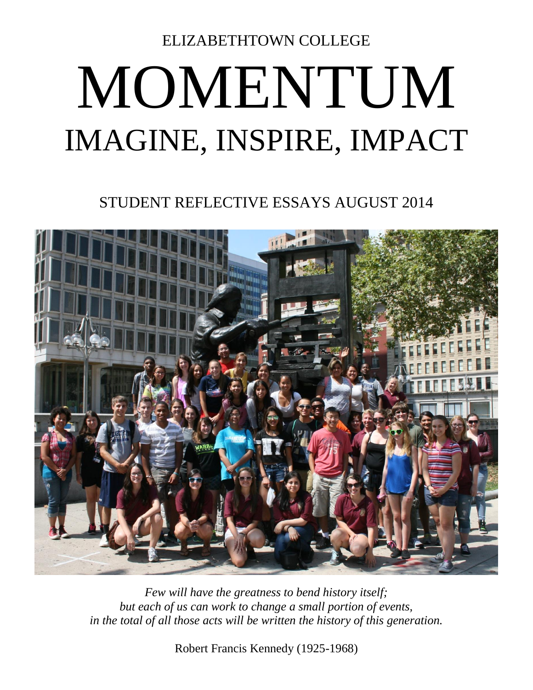ELIZABETHTOWN COLLEGE

## MOMENTUM IMAGINE, INSPIRE, IMPACT

STUDENT REFLECTIVE ESSAYS AUGUST 2014



*Few will have the greatness to bend history itself; but each of us can work to change a small portion of events, in the total of all those acts will be written the history of this generation.*

Robert Francis Kennedy (1925-1968)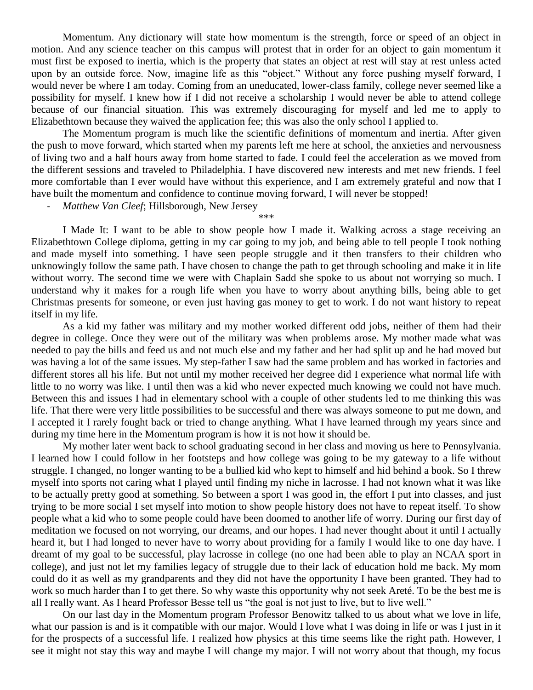Momentum. Any dictionary will state how momentum is the strength, force or speed of an object in motion. And any science teacher on this campus will protest that in order for an object to gain momentum it must first be exposed to inertia, which is the property that states an object at rest will stay at rest unless acted upon by an outside force. Now, imagine life as this "object." Without any force pushing myself forward, I would never be where I am today. Coming from an uneducated, lower-class family, college never seemed like a possibility for myself. I knew how if I did not receive a scholarship I would never be able to attend college because of our financial situation. This was extremely discouraging for myself and led me to apply to Elizabethtown because they waived the application fee; this was also the only school I applied to.

The Momentum program is much like the scientific definitions of momentum and inertia. After given the push to move forward, which started when my parents left me here at school, the anxieties and nervousness of living two and a half hours away from home started to fade. I could feel the acceleration as we moved from the different sessions and traveled to Philadelphia. I have discovered new interests and met new friends. I feel more comfortable than I ever would have without this experience, and I am extremely grateful and now that I have built the momentum and confidence to continue moving forward, I will never be stopped!

\*\*\*

- *Matthew Van Cleef*; Hillsborough, New Jersey

I Made It: I want to be able to show people how I made it. Walking across a stage receiving an Elizabethtown College diploma, getting in my car going to my job, and being able to tell people I took nothing and made myself into something. I have seen people struggle and it then transfers to their children who unknowingly follow the same path. I have chosen to change the path to get through schooling and make it in life without worry. The second time we were with Chaplain Sadd she spoke to us about not worrying so much. I understand why it makes for a rough life when you have to worry about anything bills, being able to get Christmas presents for someone, or even just having gas money to get to work. I do not want history to repeat itself in my life.

As a kid my father was military and my mother worked different odd jobs, neither of them had their degree in college. Once they were out of the military was when problems arose. My mother made what was needed to pay the bills and feed us and not much else and my father and her had split up and he had moved but was having a lot of the same issues. My step-father I saw had the same problem and has worked in factories and different stores all his life. But not until my mother received her degree did I experience what normal life with little to no worry was like. I until then was a kid who never expected much knowing we could not have much. Between this and issues I had in elementary school with a couple of other students led to me thinking this was life. That there were very little possibilities to be successful and there was always someone to put me down, and I accepted it I rarely fought back or tried to change anything. What I have learned through my years since and during my time here in the Momentum program is how it is not how it should be.

My mother later went back to school graduating second in her class and moving us here to Pennsylvania. I learned how I could follow in her footsteps and how college was going to be my gateway to a life without struggle. I changed, no longer wanting to be a bullied kid who kept to himself and hid behind a book. So I threw myself into sports not caring what I played until finding my niche in lacrosse. I had not known what it was like to be actually pretty good at something. So between a sport I was good in, the effort I put into classes, and just trying to be more social I set myself into motion to show people history does not have to repeat itself. To show people what a kid who to some people could have been doomed to another life of worry. During our first day of meditation we focused on not worrying, our dreams, and our hopes. I had never thought about it until I actually heard it, but I had longed to never have to worry about providing for a family I would like to one day have. I dreamt of my goal to be successful, play lacrosse in college (no one had been able to play an NCAA sport in college), and just not let my families legacy of struggle due to their lack of education hold me back. My mom could do it as well as my grandparents and they did not have the opportunity I have been granted. They had to work so much harder than I to get there. So why waste this opportunity why not seek Areté. To be the best me is all I really want. As I heard Professor Besse tell us "the goal is not just to live, but to live well."

On our last day in the Momentum program Professor Benowitz talked to us about what we love in life, what our passion is and is it compatible with our major. Would I love what I was doing in life or was I just in it for the prospects of a successful life. I realized how physics at this time seems like the right path. However, I see it might not stay this way and maybe I will change my major. I will not worry about that though, my focus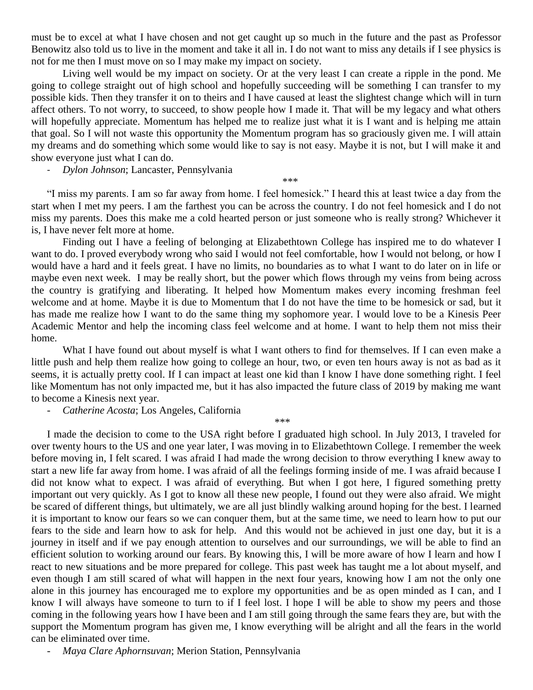must be to excel at what I have chosen and not get caught up so much in the future and the past as Professor Benowitz also told us to live in the moment and take it all in. I do not want to miss any details if I see physics is not for me then I must move on so I may make my impact on society.

Living well would be my impact on society. Or at the very least I can create a ripple in the pond. Me going to college straight out of high school and hopefully succeeding will be something I can transfer to my possible kids. Then they transfer it on to theirs and I have caused at least the slightest change which will in turn affect others. To not worry, to succeed, to show people how I made it. That will be my legacy and what others will hopefully appreciate. Momentum has helped me to realize just what it is I want and is helping me attain that goal. So I will not waste this opportunity the Momentum program has so graciously given me. I will attain my dreams and do something which some would like to say is not easy. Maybe it is not, but I will make it and show everyone just what I can do.

- *Dylon Johnson*; Lancaster, Pennsylvania

"I miss my parents. I am so far away from home. I feel homesick." I heard this at least twice a day from the start when I met my peers. I am the farthest you can be across the country. I do not feel homesick and I do not miss my parents. Does this make me a cold hearted person or just someone who is really strong? Whichever it is, I have never felt more at home.

*\*\*\**

Finding out I have a feeling of belonging at Elizabethtown College has inspired me to do whatever I want to do. I proved everybody wrong who said I would not feel comfortable, how I would not belong, or how I would have a hard and it feels great. I have no limits, no boundaries as to what I want to do later on in life or maybe even next week. I may be really short, but the power which flows through my veins from being across the country is gratifying and liberating. It helped how Momentum makes every incoming freshman feel welcome and at home. Maybe it is due to Momentum that I do not have the time to be homesick or sad, but it has made me realize how I want to do the same thing my sophomore year. I would love to be a Kinesis Peer Academic Mentor and help the incoming class feel welcome and at home. I want to help them not miss their home.

What I have found out about myself is what I want others to find for themselves. If I can even make a little push and help them realize how going to college an hour, two, or even ten hours away is not as bad as it seems, it is actually pretty cool. If I can impact at least one kid than I know I have done something right. I feel like Momentum has not only impacted me, but it has also impacted the future class of 2019 by making me want to become a Kinesis next year.

*\*\*\**

- *Catherine Acosta*; Los Angeles, California

I made the decision to come to the USA right before I graduated high school. In July 2013, I traveled for over twenty hours to the US and one year later, I was moving in to Elizabethtown College. I remember the week before moving in, I felt scared. I was afraid I had made the wrong decision to throw everything I knew away to start a new life far away from home. I was afraid of all the feelings forming inside of me. I was afraid because I did not know what to expect. I was afraid of everything. But when I got here, I figured something pretty important out very quickly. As I got to know all these new people, I found out they were also afraid. We might be scared of different things, but ultimately, we are all just blindly walking around hoping for the best. I learned it is important to know our fears so we can conquer them, but at the same time, we need to learn how to put our fears to the side and learn how to ask for help. And this would not be achieved in just one day, but it is a journey in itself and if we pay enough attention to ourselves and our surroundings, we will be able to find an efficient solution to working around our fears. By knowing this, I will be more aware of how I learn and how I react to new situations and be more prepared for college. This past week has taught me a lot about myself, and even though I am still scared of what will happen in the next four years, knowing how I am not the only one alone in this journey has encouraged me to explore my opportunities and be as open minded as I can, and I know I will always have someone to turn to if I feel lost. I hope I will be able to show my peers and those coming in the following years how I have been and I am still going through the same fears they are, but with the support the Momentum program has given me, I know everything will be alright and all the fears in the world can be eliminated over time.

- *Maya Clare Aphornsuvan*; Merion Station, Pennsylvania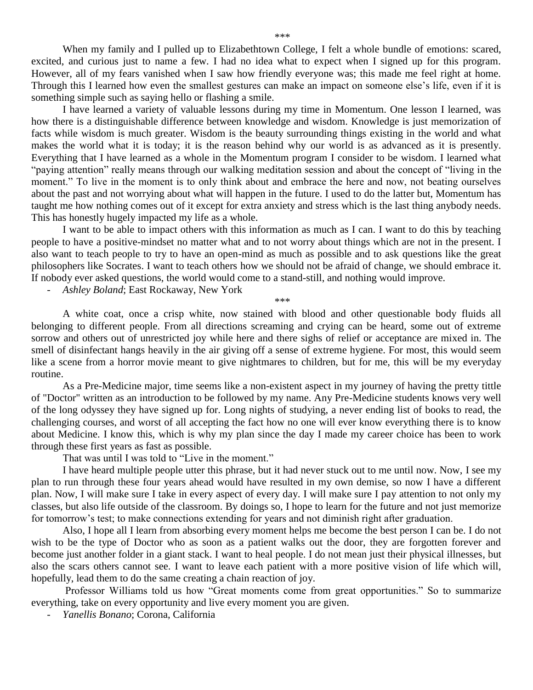When my family and I pulled up to Elizabethtown College, I felt a whole bundle of emotions: scared, excited, and curious just to name a few. I had no idea what to expect when I signed up for this program. However, all of my fears vanished when I saw how friendly everyone was; this made me feel right at home. Through this I learned how even the smallest gestures can make an impact on someone else's life, even if it is something simple such as saying hello or flashing a smile.

I have learned a variety of valuable lessons during my time in Momentum. One lesson I learned, was how there is a distinguishable difference between knowledge and wisdom. Knowledge is just memorization of facts while wisdom is much greater. Wisdom is the beauty surrounding things existing in the world and what makes the world what it is today; it is the reason behind why our world is as advanced as it is presently. Everything that I have learned as a whole in the Momentum program I consider to be wisdom. I learned what "paying attention" really means through our walking meditation session and about the concept of "living in the moment." To live in the moment is to only think about and embrace the here and now, not beating ourselves about the past and not worrying about what will happen in the future. I used to do the latter but, Momentum has taught me how nothing comes out of it except for extra anxiety and stress which is the last thing anybody needs. This has honestly hugely impacted my life as a whole.

I want to be able to impact others with this information as much as I can. I want to do this by teaching people to have a positive-mindset no matter what and to not worry about things which are not in the present. I also want to teach people to try to have an open-mind as much as possible and to ask questions like the great philosophers like Socrates. I want to teach others how we should not be afraid of change, we should embrace it. If nobody ever asked questions, the world would come to a stand-still, and nothing would improve.

- *Ashley Boland*; East Rockaway, New York

*\*\*\**

A white coat, once a crisp white, now stained with blood and other questionable body fluids all belonging to different people. From all directions screaming and crying can be heard, some out of extreme sorrow and others out of unrestricted joy while here and there sighs of relief or acceptance are mixed in. The smell of disinfectant hangs heavily in the air giving off a sense of extreme hygiene. For most, this would seem like a scene from a horror movie meant to give nightmares to children, but for me, this will be my everyday routine.

As a Pre-Medicine major, time seems like a non-existent aspect in my journey of having the pretty tittle of "Doctor" written as an introduction to be followed by my name. Any Pre-Medicine students knows very well of the long odyssey they have signed up for. Long nights of studying, a never ending list of books to read, the challenging courses, and worst of all accepting the fact how no one will ever know everything there is to know about Medicine. I know this, which is why my plan since the day I made my career choice has been to work through these first years as fast as possible.

That was until I was told to "Live in the moment."

I have heard multiple people utter this phrase, but it had never stuck out to me until now. Now, I see my plan to run through these four years ahead would have resulted in my own demise, so now I have a different plan. Now, I will make sure I take in every aspect of every day. I will make sure I pay attention to not only my classes, but also life outside of the classroom. By doings so, I hope to learn for the future and not just memorize for tomorrow's test; to make connections extending for years and not diminish right after graduation.

Also, I hope all I learn from absorbing every moment helps me become the best person I can be. I do not wish to be the type of Doctor who as soon as a patient walks out the door, they are forgotten forever and become just another folder in a giant stack. I want to heal people. I do not mean just their physical illnesses, but also the scars others cannot see. I want to leave each patient with a more positive vision of life which will, hopefully, lead them to do the same creating a chain reaction of joy.

Professor Williams told us how "Great moments come from great opportunities." So to summarize everything, take on every opportunity and live every moment you are given.

- *Yanellis Bonano*; Corona, California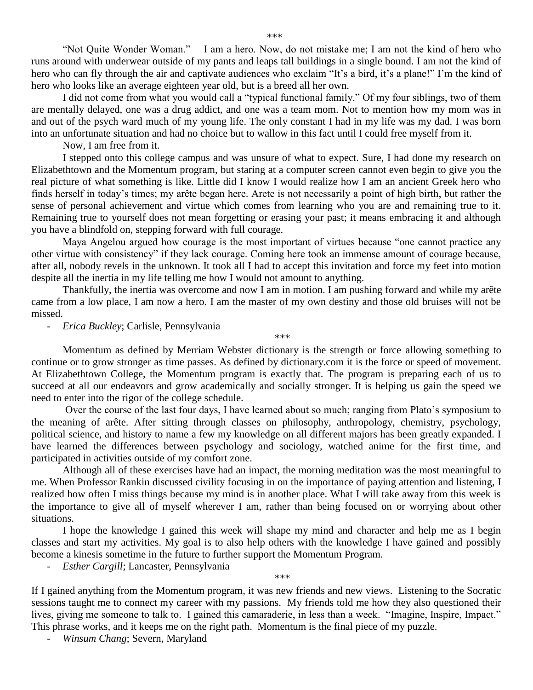"Not Quite Wonder Woman." I am a hero. Now, do not mistake me; I am not the kind of hero who runs around with underwear outside of my pants and leaps tall buildings in a single bound. I am not the kind of hero who can fly through the air and captivate audiences who exclaim "It's a bird, it's a plane!" I'm the kind of hero who looks like an average eighteen year old, but is a breed all her own.

I did not come from what you would call a "typical functional family." Of my four siblings, two of them are mentally delayed, one was a drug addict, and one was a team mom. Not to mention how my mom was in and out of the psych ward much of my young life. The only constant I had in my life was my dad. I was born into an unfortunate situation and had no choice but to wallow in this fact until I could free myself from it.

Now, I am free from it.

I stepped onto this college campus and was unsure of what to expect. Sure, I had done my research on Elizabethtown and the Momentum program, but staring at a computer screen cannot even begin to give you the real picture of what something is like. Little did I know I would realize how I am an ancient Greek hero who finds herself in today's times; my arête began here. Arete is not necessarily a point of high birth, but rather the sense of personal achievement and virtue which comes from learning who you are and remaining true to it. Remaining true to yourself does not mean forgetting or erasing your past; it means embracing it and although you have a blindfold on, stepping forward with full courage.

Maya Angelou argued how courage is the most important of virtues because "one cannot practice any other virtue with consistency" if they lack courage. Coming here took an immense amount of courage because, after all, nobody revels in the unknown. It took all I had to accept this invitation and force my feet into motion despite all the inertia in my life telling me how I would not amount to anything.

Thankfully, the inertia was overcome and now I am in motion. I am pushing forward and while my arête came from a low place, I am now a hero. I am the master of my own destiny and those old bruises will not be missed.

*\*\*\**

- *Erica Buckley*; Carlisle, Pennsylvania

Momentum as defined by Merriam Webster dictionary is the strength or force allowing something to continue or to grow stronger as time passes. As defined by dictionary.com it is the force or speed of movement. At Elizabethtown College, the Momentum program is exactly that. The program is preparing each of us to succeed at all our endeavors and grow academically and socially stronger. It is helping us gain the speed we need to enter into the rigor of the college schedule.

Over the course of the last four days, I have learned about so much; ranging from Plato's symposium to the meaning of arête. After sitting through classes on philosophy, anthropology, chemistry, psychology, political science, and history to name a few my knowledge on all different majors has been greatly expanded. I have learned the differences between psychology and sociology, watched anime for the first time, and participated in activities outside of my comfort zone.

Although all of these exercises have had an impact, the morning meditation was the most meaningful to me. When Professor Rankin discussed civility focusing in on the importance of paying attention and listening, I realized how often I miss things because my mind is in another place. What I will take away from this week is the importance to give all of myself wherever I am, rather than being focused on or worrying about other situations.

I hope the knowledge I gained this week will shape my mind and character and help me as I begin classes and start my activities. My goal is to also help others with the knowledge I have gained and possibly become a kinesis sometime in the future to further support the Momentum Program.

*\*\*\**

- *Esther Cargill*; Lancaster, Pennsylvania

If I gained anything from the Momentum program, it was new friends and new views. Listening to the Socratic sessions taught me to connect my career with my passions. My friends told me how they also questioned their lives, giving me someone to talk to. I gained this camaraderie, in less than a week. "Imagine, Inspire, Impact." This phrase works, and it keeps me on the right path. Momentum is the final piece of my puzzle.

- *Winsum Chang*; Severn, Maryland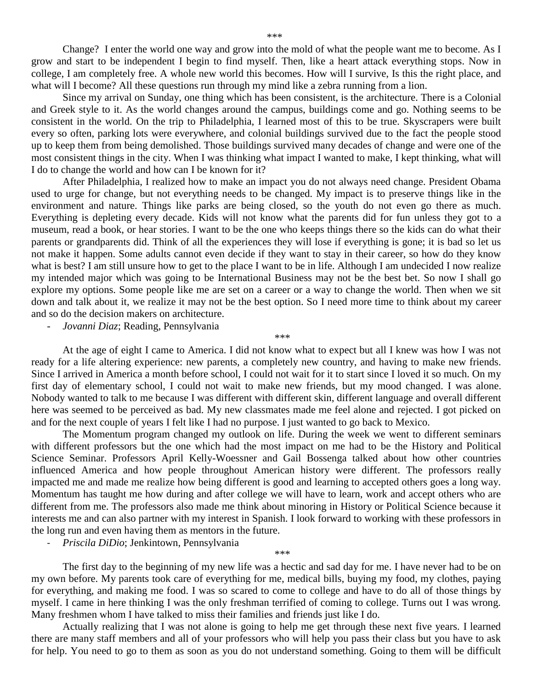Change? I enter the world one way and grow into the mold of what the people want me to become. As I grow and start to be independent I begin to find myself. Then, like a heart attack everything stops. Now in college, I am completely free. A whole new world this becomes. How will I survive, Is this the right place, and what will I become? All these questions run through my mind like a zebra running from a lion.

Since my arrival on Sunday, one thing which has been consistent, is the architecture. There is a Colonial and Greek style to it. As the world changes around the campus, buildings come and go. Nothing seems to be consistent in the world. On the trip to Philadelphia, I learned most of this to be true. Skyscrapers were built every so often, parking lots were everywhere, and colonial buildings survived due to the fact the people stood up to keep them from being demolished. Those buildings survived many decades of change and were one of the most consistent things in the city. When I was thinking what impact I wanted to make, I kept thinking, what will I do to change the world and how can I be known for it?

After Philadelphia, I realized how to make an impact you do not always need change. President Obama used to urge for change, but not everything needs to be changed. My impact is to preserve things like in the environment and nature. Things like parks are being closed, so the youth do not even go there as much. Everything is depleting every decade. Kids will not know what the parents did for fun unless they got to a museum, read a book, or hear stories. I want to be the one who keeps things there so the kids can do what their parents or grandparents did. Think of all the experiences they will lose if everything is gone; it is bad so let us not make it happen. Some adults cannot even decide if they want to stay in their career, so how do they know what is best? I am still unsure how to get to the place I want to be in life. Although I am undecided I now realize my intended major which was going to be International Business may not be the best bet. So now I shall go explore my options. Some people like me are set on a career or a way to change the world. Then when we sit down and talk about it, we realize it may not be the best option. So I need more time to think about my career and so do the decision makers on architecture.

- *Jovanni Diaz*; Reading, Pennsylvania

At the age of eight I came to America. I did not know what to expect but all I knew was how I was not ready for a life altering experience: new parents, a completely new country, and having to make new friends. Since I arrived in America a month before school, I could not wait for it to start since I loved it so much. On my first day of elementary school, I could not wait to make new friends, but my mood changed. I was alone. Nobody wanted to talk to me because I was different with different skin, different language and overall different here was seemed to be perceived as bad. My new classmates made me feel alone and rejected. I got picked on and for the next couple of years I felt like I had no purpose. I just wanted to go back to Mexico.

*\*\*\**

The Momentum program changed my outlook on life. During the week we went to different seminars with different professors but the one which had the most impact on me had to be the History and Political Science Seminar. Professors April Kelly-Woessner and Gail Bossenga talked about how other countries influenced America and how people throughout American history were different. The professors really impacted me and made me realize how being different is good and learning to accepted others goes a long way. Momentum has taught me how during and after college we will have to learn, work and accept others who are different from me. The professors also made me think about minoring in History or Political Science because it interests me and can also partner with my interest in Spanish. I look forward to working with these professors in the long run and even having them as mentors in the future.

- *Priscila DiDio*; Jenkintown, Pennsylvania

The first day to the beginning of my new life was a hectic and sad day for me. I have never had to be on my own before. My parents took care of everything for me, medical bills, buying my food, my clothes, paying for everything, and making me food. I was so scared to come to college and have to do all of those things by myself. I came in here thinking I was the only freshman terrified of coming to college. Turns out I was wrong. Many freshmen whom I have talked to miss their families and friends just like I do.

*\*\*\**

Actually realizing that I was not alone is going to help me get through these next five years. I learned there are many staff members and all of your professors who will help you pass their class but you have to ask for help. You need to go to them as soon as you do not understand something. Going to them will be difficult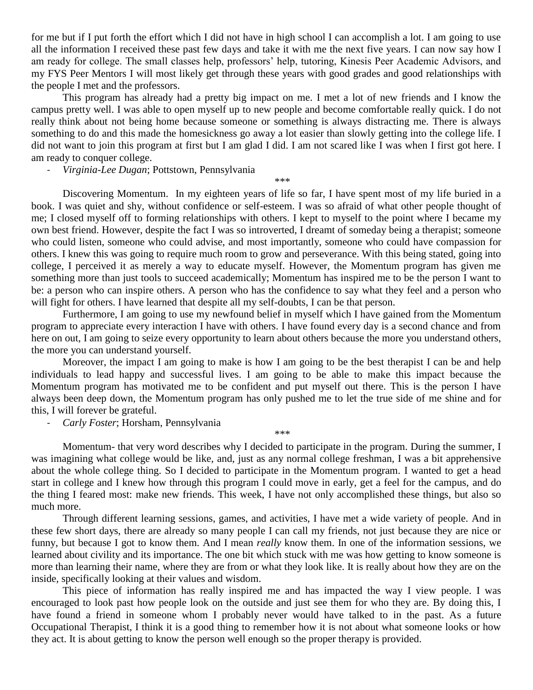for me but if I put forth the effort which I did not have in high school I can accomplish a lot. I am going to use all the information I received these past few days and take it with me the next five years. I can now say how I am ready for college. The small classes help, professors' help, tutoring, Kinesis Peer Academic Advisors, and my FYS Peer Mentors I will most likely get through these years with good grades and good relationships with the people I met and the professors.

This program has already had a pretty big impact on me. I met a lot of new friends and I know the campus pretty well. I was able to open myself up to new people and become comfortable really quick. I do not really think about not being home because someone or something is always distracting me. There is always something to do and this made the homesickness go away a lot easier than slowly getting into the college life. I did not want to join this program at first but I am glad I did. I am not scared like I was when I first got here. I am ready to conquer college.

*\*\*\**

- *Virginia-Lee Dugan*; Pottstown, Pennsylvania

Discovering Momentum. In my eighteen years of life so far, I have spent most of my life buried in a book. I was quiet and shy, without confidence or self-esteem. I was so afraid of what other people thought of me; I closed myself off to forming relationships with others. I kept to myself to the point where I became my own best friend. However, despite the fact I was so introverted, I dreamt of someday being a therapist; someone who could listen, someone who could advise, and most importantly, someone who could have compassion for others. I knew this was going to require much room to grow and perseverance. With this being stated, going into college, I perceived it as merely a way to educate myself. However, the Momentum program has given me something more than just tools to succeed academically; Momentum has inspired me to be the person I want to be: a person who can inspire others. A person who has the confidence to say what they feel and a person who will fight for others. I have learned that despite all my self-doubts, I can be that person.

Furthermore, I am going to use my newfound belief in myself which I have gained from the Momentum program to appreciate every interaction I have with others. I have found every day is a second chance and from here on out, I am going to seize every opportunity to learn about others because the more you understand others, the more you can understand yourself.

Moreover, the impact I am going to make is how I am going to be the best therapist I can be and help individuals to lead happy and successful lives. I am going to be able to make this impact because the Momentum program has motivated me to be confident and put myself out there. This is the person I have always been deep down, the Momentum program has only pushed me to let the true side of me shine and for this, I will forever be grateful.

- *Carly Foster*; Horsham, Pennsylvania

Momentum- that very word describes why I decided to participate in the program. During the summer, I was imagining what college would be like, and, just as any normal college freshman, I was a bit apprehensive about the whole college thing. So I decided to participate in the Momentum program. I wanted to get a head start in college and I knew how through this program I could move in early, get a feel for the campus, and do the thing I feared most: make new friends. This week, I have not only accomplished these things, but also so much more.

*\*\*\**

Through different learning sessions, games, and activities, I have met a wide variety of people. And in these few short days, there are already so many people I can call my friends, not just because they are nice or funny, but because I got to know them. And I mean *really* know them. In one of the information sessions, we learned about civility and its importance. The one bit which stuck with me was how getting to know someone is more than learning their name, where they are from or what they look like. It is really about how they are on the inside, specifically looking at their values and wisdom.

This piece of information has really inspired me and has impacted the way I view people. I was encouraged to look past how people look on the outside and just see them for who they are. By doing this, I have found a friend in someone whom I probably never would have talked to in the past. As a future Occupational Therapist, I think it is a good thing to remember how it is not about what someone looks or how they act. It is about getting to know the person well enough so the proper therapy is provided.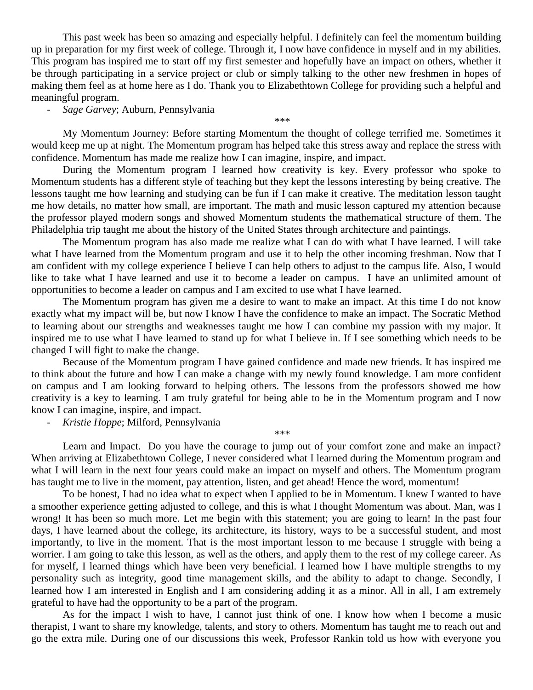This past week has been so amazing and especially helpful. I definitely can feel the momentum building up in preparation for my first week of college. Through it, I now have confidence in myself and in my abilities. This program has inspired me to start off my first semester and hopefully have an impact on others, whether it be through participating in a service project or club or simply talking to the other new freshmen in hopes of making them feel as at home here as I do. Thank you to Elizabethtown College for providing such a helpful and meaningful program.

- *Sage Garvey*; Auburn, Pennsylvania

My Momentum Journey: Before starting Momentum the thought of college terrified me. Sometimes it would keep me up at night. The Momentum program has helped take this stress away and replace the stress with confidence. Momentum has made me realize how I can imagine, inspire, and impact.

*\*\*\**

During the Momentum program I learned how creativity is key. Every professor who spoke to Momentum students has a different style of teaching but they kept the lessons interesting by being creative. The lessons taught me how learning and studying can be fun if I can make it creative. The meditation lesson taught me how details, no matter how small, are important. The math and music lesson captured my attention because the professor played modern songs and showed Momentum students the mathematical structure of them. The Philadelphia trip taught me about the history of the United States through architecture and paintings.

The Momentum program has also made me realize what I can do with what I have learned. I will take what I have learned from the Momentum program and use it to help the other incoming freshman. Now that I am confident with my college experience I believe I can help others to adjust to the campus life. Also, I would like to take what I have learned and use it to become a leader on campus. I have an unlimited amount of opportunities to become a leader on campus and I am excited to use what I have learned.

The Momentum program has given me a desire to want to make an impact. At this time I do not know exactly what my impact will be, but now I know I have the confidence to make an impact. The Socratic Method to learning about our strengths and weaknesses taught me how I can combine my passion with my major. It inspired me to use what I have learned to stand up for what I believe in. If I see something which needs to be changed I will fight to make the change.

Because of the Momentum program I have gained confidence and made new friends. It has inspired me to think about the future and how I can make a change with my newly found knowledge. I am more confident on campus and I am looking forward to helping others. The lessons from the professors showed me how creativity is a key to learning. I am truly grateful for being able to be in the Momentum program and I now know I can imagine, inspire, and impact.

- *Kristie Hoppe*; Milford, Pennsylvania

Learn and Impact. Do you have the courage to jump out of your comfort zone and make an impact? When arriving at Elizabethtown College, I never considered what I learned during the Momentum program and what I will learn in the next four years could make an impact on myself and others. The Momentum program has taught me to live in the moment, pay attention, listen, and get ahead! Hence the word, momentum!

*\*\*\**

To be honest, I had no idea what to expect when I applied to be in Momentum. I knew I wanted to have a smoother experience getting adjusted to college, and this is what I thought Momentum was about. Man, was I wrong! It has been so much more. Let me begin with this statement; you are going to learn! In the past four days, I have learned about the college, its architecture, its history, ways to be a successful student, and most importantly, to live in the moment. That is the most important lesson to me because I struggle with being a worrier. I am going to take this lesson, as well as the others, and apply them to the rest of my college career. As for myself, I learned things which have been very beneficial. I learned how I have multiple strengths to my personality such as integrity, good time management skills, and the ability to adapt to change. Secondly, I learned how I am interested in English and I am considering adding it as a minor. All in all, I am extremely grateful to have had the opportunity to be a part of the program.

As for the impact I wish to have, I cannot just think of one. I know how when I become a music therapist, I want to share my knowledge, talents, and story to others. Momentum has taught me to reach out and go the extra mile. During one of our discussions this week, Professor Rankin told us how with everyone you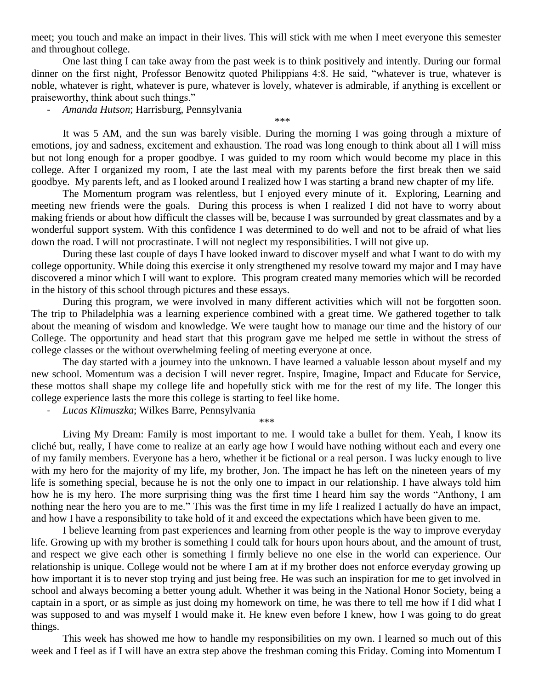meet; you touch and make an impact in their lives. This will stick with me when I meet everyone this semester and throughout college.

One last thing I can take away from the past week is to think positively and intently. During our formal dinner on the first night, Professor Benowitz quoted Philippians 4:8. He said, "whatever is true, whatever is noble, whatever is right, whatever is pure, whatever is lovely, whatever is admirable, if anything is excellent or praiseworthy, think about such things."

- *Amanda Hutson*; Harrisburg, Pennsylvania

It was 5 AM, and the sun was barely visible. During the morning I was going through a mixture of emotions, joy and sadness, excitement and exhaustion. The road was long enough to think about all I will miss but not long enough for a proper goodbye. I was guided to my room which would become my place in this college. After I organized my room, I ate the last meal with my parents before the first break then we said goodbye. My parents left, and as I looked around I realized how I was starting a brand new chapter of my life.

*\*\*\**

The Momentum program was relentless, but I enjoyed every minute of it. Exploring, Learning and meeting new friends were the goals. During this process is when I realized I did not have to worry about making friends or about how difficult the classes will be, because I was surrounded by great classmates and by a wonderful support system. With this confidence I was determined to do well and not to be afraid of what lies down the road. I will not procrastinate. I will not neglect my responsibilities. I will not give up.

During these last couple of days I have looked inward to discover myself and what I want to do with my college opportunity. While doing this exercise it only strengthened my resolve toward my major and I may have discovered a minor which I will want to explore. This program created many memories which will be recorded in the history of this school through pictures and these essays.

During this program, we were involved in many different activities which will not be forgotten soon. The trip to Philadelphia was a learning experience combined with a great time. We gathered together to talk about the meaning of wisdom and knowledge. We were taught how to manage our time and the history of our College. The opportunity and head start that this program gave me helped me settle in without the stress of college classes or the without overwhelming feeling of meeting everyone at once.

The day started with a journey into the unknown. I have learned a valuable lesson about myself and my new school. Momentum was a decision I will never regret. Inspire, Imagine, Impact and Educate for Service, these mottos shall shape my college life and hopefully stick with me for the rest of my life. The longer this college experience lasts the more this college is starting to feel like home.

- *Lucas Klimuszka*; Wilkes Barre, Pennsylvania

*\*\*\**

Living My Dream: Family is most important to me. I would take a bullet for them. Yeah, I know its cliché but, really, I have come to realize at an early age how I would have nothing without each and every one of my family members. Everyone has a hero, whether it be fictional or a real person. I was lucky enough to live with my hero for the majority of my life, my brother, Jon. The impact he has left on the nineteen years of my life is something special, because he is not the only one to impact in our relationship. I have always told him how he is my hero. The more surprising thing was the first time I heard him say the words "Anthony, I am nothing near the hero you are to me." This was the first time in my life I realized I actually do have an impact, and how I have a responsibility to take hold of it and exceed the expectations which have been given to me.

I believe learning from past experiences and learning from other people is the way to improve everyday life. Growing up with my brother is something I could talk for hours upon hours about, and the amount of trust, and respect we give each other is something I firmly believe no one else in the world can experience. Our relationship is unique. College would not be where I am at if my brother does not enforce everyday growing up how important it is to never stop trying and just being free. He was such an inspiration for me to get involved in school and always becoming a better young adult. Whether it was being in the National Honor Society, being a captain in a sport, or as simple as just doing my homework on time, he was there to tell me how if I did what I was supposed to and was myself I would make it. He knew even before I knew, how I was going to do great things.

This week has showed me how to handle my responsibilities on my own. I learned so much out of this week and I feel as if I will have an extra step above the freshman coming this Friday. Coming into Momentum I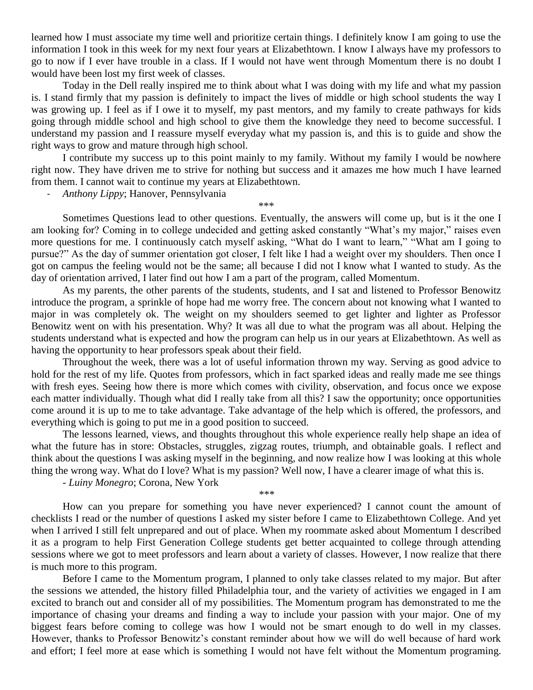learned how I must associate my time well and prioritize certain things. I definitely know I am going to use the information I took in this week for my next four years at Elizabethtown. I know I always have my professors to go to now if I ever have trouble in a class. If I would not have went through Momentum there is no doubt I would have been lost my first week of classes.

Today in the Dell really inspired me to think about what I was doing with my life and what my passion is. I stand firmly that my passion is definitely to impact the lives of middle or high school students the way I was growing up. I feel as if I owe it to myself, my past mentors, and my family to create pathways for kids going through middle school and high school to give them the knowledge they need to become successful. I understand my passion and I reassure myself everyday what my passion is, and this is to guide and show the right ways to grow and mature through high school.

I contribute my success up to this point mainly to my family. Without my family I would be nowhere right now. They have driven me to strive for nothing but success and it amazes me how much I have learned from them. I cannot wait to continue my years at Elizabethtown.

- *Anthony Lippy*; Hanover, Pennsylvania

\*\*\*

Sometimes Questions lead to other questions. Eventually, the answers will come up, but is it the one I am looking for? Coming in to college undecided and getting asked constantly "What's my major," raises even more questions for me. I continuously catch myself asking, "What do I want to learn," "What am I going to pursue?" As the day of summer orientation got closer, I felt like I had a weight over my shoulders. Then once I got on campus the feeling would not be the same; all because I did not I know what I wanted to study. As the day of orientation arrived, I later find out how I am a part of the program, called Momentum.

As my parents, the other parents of the students, students, and I sat and listened to Professor Benowitz introduce the program, a sprinkle of hope had me worry free. The concern about not knowing what I wanted to major in was completely ok. The weight on my shoulders seemed to get lighter and lighter as Professor Benowitz went on with his presentation. Why? It was all due to what the program was all about. Helping the students understand what is expected and how the program can help us in our years at Elizabethtown. As well as having the opportunity to hear professors speak about their field.

Throughout the week, there was a lot of useful information thrown my way. Serving as good advice to hold for the rest of my life. Quotes from professors, which in fact sparked ideas and really made me see things with fresh eyes. Seeing how there is more which comes with civility, observation, and focus once we expose each matter individually. Though what did I really take from all this? I saw the opportunity; once opportunities come around it is up to me to take advantage. Take advantage of the help which is offered, the professors, and everything which is going to put me in a good position to succeed.

The lessons learned, views, and thoughts throughout this whole experience really help shape an idea of what the future has in store: Obstacles, struggles, zigzag routes, triumph, and obtainable goals. I reflect and think about the questions I was asking myself in the beginning, and now realize how I was looking at this whole thing the wrong way. What do I love? What is my passion? Well now, I have a clearer image of what this is.

*\*\*\**

- *Luiny Monegro*; Corona, New York

How can you prepare for something you have never experienced? I cannot count the amount of checklists I read or the number of questions I asked my sister before I came to Elizabethtown College. And yet when I arrived I still felt unprepared and out of place. When my roommate asked about Momentum I described it as a program to help First Generation College students get better acquainted to college through attending sessions where we got to meet professors and learn about a variety of classes. However, I now realize that there is much more to this program.

Before I came to the Momentum program, I planned to only take classes related to my major. But after the sessions we attended, the history filled Philadelphia tour, and the variety of activities we engaged in I am excited to branch out and consider all of my possibilities. The Momentum program has demonstrated to me the importance of chasing your dreams and finding a way to include your passion with your major. One of my biggest fears before coming to college was how I would not be smart enough to do well in my classes. However, thanks to Professor Benowitz's constant reminder about how we will do well because of hard work and effort; I feel more at ease which is something I would not have felt without the Momentum programing.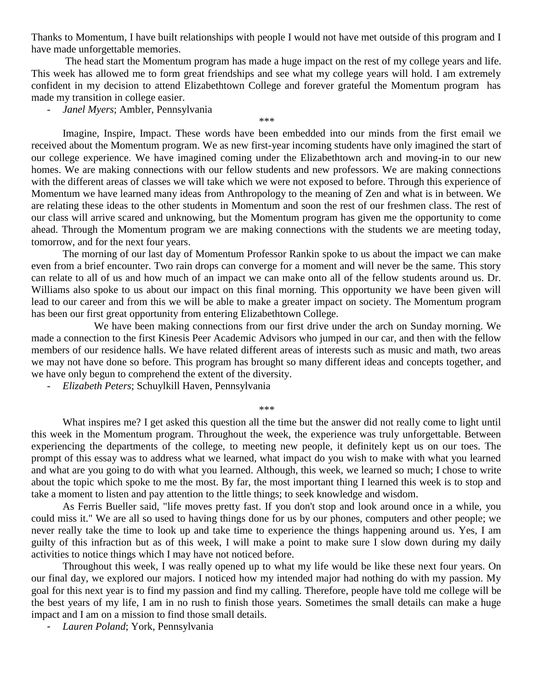Thanks to Momentum, I have built relationships with people I would not have met outside of this program and I have made unforgettable memories.

The head start the Momentum program has made a huge impact on the rest of my college years and life. This week has allowed me to form great friendships and see what my college years will hold. I am extremely confident in my decision to attend Elizabethtown College and forever grateful the Momentum program has made my transition in college easier.

- *Janel Myers*; Ambler, Pennsylvania

*\*\*\**

Imagine, Inspire, Impact. These words have been embedded into our minds from the first email we received about the Momentum program. We as new first-year incoming students have only imagined the start of our college experience. We have imagined coming under the Elizabethtown arch and moving-in to our new homes. We are making connections with our fellow students and new professors. We are making connections with the different areas of classes we will take which we were not exposed to before. Through this experience of Momentum we have learned many ideas from Anthropology to the meaning of Zen and what is in between. We are relating these ideas to the other students in Momentum and soon the rest of our freshmen class. The rest of our class will arrive scared and unknowing, but the Momentum program has given me the opportunity to come ahead. Through the Momentum program we are making connections with the students we are meeting today, tomorrow, and for the next four years.

The morning of our last day of Momentum Professor Rankin spoke to us about the impact we can make even from a brief encounter. Two rain drops can converge for a moment and will never be the same. This story can relate to all of us and how much of an impact we can make onto all of the fellow students around us. Dr. Williams also spoke to us about our impact on this final morning. This opportunity we have been given will lead to our career and from this we will be able to make a greater impact on society. The Momentum program has been our first great opportunity from entering Elizabethtown College.

We have been making connections from our first drive under the arch on Sunday morning. We made a connection to the first Kinesis Peer Academic Advisors who jumped in our car, and then with the fellow members of our residence halls. We have related different areas of interests such as music and math, two areas we may not have done so before. This program has brought so many different ideas and concepts together, and we have only begun to comprehend the extent of the diversity.

- *Elizabeth Peters*; Schuylkill Haven, Pennsylvania

*\*\*\**

What inspires me? I get asked this question all the time but the answer did not really come to light until this week in the Momentum program. Throughout the week, the experience was truly unforgettable. Between experiencing the departments of the college, to meeting new people, it definitely kept us on our toes. The prompt of this essay was to address what we learned, what impact do you wish to make with what you learned and what are you going to do with what you learned. Although, this week, we learned so much; I chose to write about the topic which spoke to me the most. By far, the most important thing I learned this week is to stop and take a moment to listen and pay attention to the little things; to seek knowledge and wisdom.

As Ferris Bueller said, "life moves pretty fast. If you don't stop and look around once in a while, you could miss it." We are all so used to having things done for us by our phones, computers and other people; we never really take the time to look up and take time to experience the things happening around us. Yes, I am guilty of this infraction but as of this week, I will make a point to make sure I slow down during my daily activities to notice things which I may have not noticed before.

Throughout this week, I was really opened up to what my life would be like these next four years. On our final day, we explored our majors. I noticed how my intended major had nothing do with my passion. My goal for this next year is to find my passion and find my calling. Therefore, people have told me college will be the best years of my life, I am in no rush to finish those years. Sometimes the small details can make a huge impact and I am on a mission to find those small details.

- *Lauren Poland*; York, Pennsylvania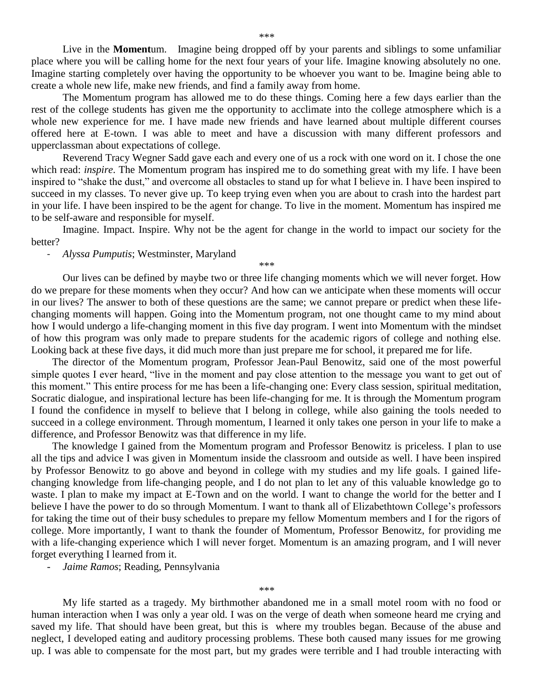Live in the **Moment**um. Imagine being dropped off by your parents and siblings to some unfamiliar place where you will be calling home for the next four years of your life. Imagine knowing absolutely no one. Imagine starting completely over having the opportunity to be whoever you want to be. Imagine being able to create a whole new life, make new friends, and find a family away from home.

The Momentum program has allowed me to do these things. Coming here a few days earlier than the rest of the college students has given me the opportunity to acclimate into the college atmosphere which is a whole new experience for me. I have made new friends and have learned about multiple different courses offered here at E-town. I was able to meet and have a discussion with many different professors and upperclassman about expectations of college.

Reverend Tracy Wegner Sadd gave each and every one of us a rock with one word on it. I chose the one which read: *inspire*. The Momentum program has inspired me to do something great with my life. I have been inspired to "shake the dust," and overcome all obstacles to stand up for what I believe in. I have been inspired to succeed in my classes. To never give up. To keep trying even when you are about to crash into the hardest part in your life. I have been inspired to be the agent for change. To live in the moment. Momentum has inspired me to be self-aware and responsible for myself.

Imagine. Impact. Inspire. Why not be the agent for change in the world to impact our society for the better?

*\*\*\**

## - *Alyssa Pumputis*; Westminster, Maryland

Our lives can be defined by maybe two or three life changing moments which we will never forget. How do we prepare for these moments when they occur? And how can we anticipate when these moments will occur in our lives? The answer to both of these questions are the same; we cannot prepare or predict when these lifechanging moments will happen. Going into the Momentum program, not one thought came to my mind about how I would undergo a life-changing moment in this five day program. I went into Momentum with the mindset of how this program was only made to prepare students for the academic rigors of college and nothing else. Looking back at these five days, it did much more than just prepare me for school, it prepared me for life.

 The director of the Momentum program, Professor Jean-Paul Benowitz, said one of the most powerful simple quotes I ever heard, "live in the moment and pay close attention to the message you want to get out of this moment." This entire process for me has been a life-changing one: Every class session, spiritual meditation, Socratic dialogue, and inspirational lecture has been life-changing for me. It is through the Momentum program I found the confidence in myself to believe that I belong in college, while also gaining the tools needed to succeed in a college environment. Through momentum, I learned it only takes one person in your life to make a difference, and Professor Benowitz was that difference in my life.

 The knowledge I gained from the Momentum program and Professor Benowitz is priceless. I plan to use all the tips and advice I was given in Momentum inside the classroom and outside as well. I have been inspired by Professor Benowitz to go above and beyond in college with my studies and my life goals. I gained lifechanging knowledge from life-changing people, and I do not plan to let any of this valuable knowledge go to waste. I plan to make my impact at E-Town and on the world. I want to change the world for the better and I believe I have the power to do so through Momentum. I want to thank all of Elizabethtown College's professors for taking the time out of their busy schedules to prepare my fellow Momentum members and I for the rigors of college. More importantly, I want to thank the founder of Momentum, Professor Benowitz, for providing me with a life-changing experience which I will never forget. Momentum is an amazing program, and I will never forget everything I learned from it.

- *Jaime Ramos*; Reading, Pennsylvania

*\*\*\**

My life started as a tragedy. My birthmother abandoned me in a small motel room with no food or human interaction when I was only a year old. I was on the verge of death when someone heard me crying and saved my life. That should have been great, but this is where my troubles began. Because of the abuse and neglect, I developed eating and auditory processing problems. These both caused many issues for me growing up. I was able to compensate for the most part, but my grades were terrible and I had trouble interacting with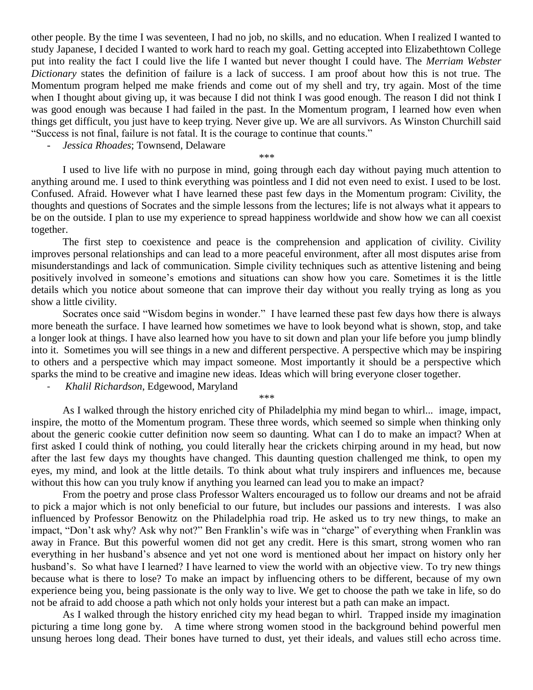other people. By the time I was seventeen, I had no job, no skills, and no education. When I realized I wanted to study Japanese, I decided I wanted to work hard to reach my goal. Getting accepted into Elizabethtown College put into reality the fact I could live the life I wanted but never thought I could have. The *Merriam Webster Dictionary* states the definition of failure is a lack of success. I am proof about how this is not true. The Momentum program helped me make friends and come out of my shell and try, try again. Most of the time when I thought about giving up, it was because I did not think I was good enough. The reason I did not think I was good enough was because I had failed in the past. In the Momentum program, I learned how even when things get difficult, you just have to keep trying. Never give up. We are all survivors. As Winston Churchill said "Success is not final, failure is not fatal. It is the courage to continue that counts."

- *Jessica Rhoades*; Townsend, Delaware

*\*\*\**

I used to live life with no purpose in mind, going through each day without paying much attention to anything around me. I used to think everything was pointless and I did not even need to exist. I used to be lost. Confused. Afraid. However what I have learned these past few days in the Momentum program: Civility, the thoughts and questions of Socrates and the simple lessons from the lectures; life is not always what it appears to be on the outside. I plan to use my experience to spread happiness worldwide and show how we can all coexist together.

The first step to coexistence and peace is the comprehension and application of civility. Civility improves personal relationships and can lead to a more peaceful environment, after all most disputes arise from misunderstandings and lack of communication. Simple civility techniques such as attentive listening and being positively involved in someone's emotions and situations can show how you care. Sometimes it is the little details which you notice about someone that can improve their day without you really trying as long as you show a little civility.

Socrates once said "Wisdom begins in wonder." I have learned these past few days how there is always more beneath the surface. I have learned how sometimes we have to look beyond what is shown, stop, and take a longer look at things. I have also learned how you have to sit down and plan your life before you jump blindly into it. Sometimes you will see things in a new and different perspective. A perspective which may be inspiring to others and a perspective which may impact someone. Most importantly it should be a perspective which sparks the mind to be creative and imagine new ideas. Ideas which will bring everyone closer together.

*\*\*\**

- *Khalil Richardson*, Edgewood, Maryland

As I walked through the history enriched city of Philadelphia my mind began to whirl... image, impact, inspire, the motto of the Momentum program. These three words, which seemed so simple when thinking only about the generic cookie cutter definition now seem so daunting. What can I do to make an impact? When at first asked I could think of nothing, you could literally hear the crickets chirping around in my head, but now after the last few days my thoughts have changed. This daunting question challenged me think, to open my eyes, my mind, and look at the little details. To think about what truly inspirers and influences me, because without this how can you truly know if anything you learned can lead you to make an impact?

From the poetry and prose class Professor Walters encouraged us to follow our dreams and not be afraid to pick a major which is not only beneficial to our future, but includes our passions and interests. I was also influenced by Professor Benowitz on the Philadelphia road trip. He asked us to try new things, to make an impact, "Don't ask why? Ask why not?" Ben Franklin's wife was in "charge" of everything when Franklin was away in France. But this powerful women did not get any credit. Here is this smart, strong women who ran everything in her husband's absence and yet not one word is mentioned about her impact on history only her husband's. So what have I learned? I have learned to view the world with an objective view. To try new things because what is there to lose? To make an impact by influencing others to be different, because of my own experience being you, being passionate is the only way to live. We get to choose the path we take in life, so do not be afraid to add choose a path which not only holds your interest but a path can make an impact.

As I walked through the history enriched city my head began to whirl. Trapped inside my imagination picturing a time long gone by. A time where strong women stood in the background behind powerful men unsung heroes long dead. Their bones have turned to dust, yet their ideals, and values still echo across time.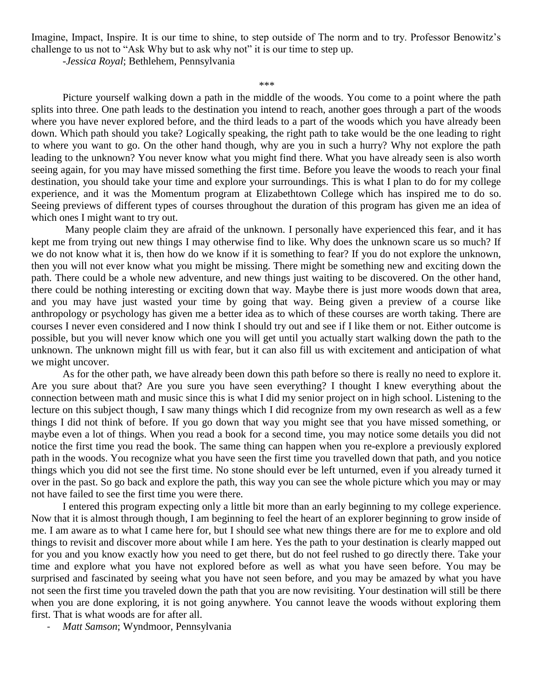Imagine, Impact, Inspire. It is our time to shine, to step outside of The norm and to try. Professor Benowitz's challenge to us not to "Ask Why but to ask why not" it is our time to step up.

-*Jessica Royal*; Bethlehem, Pennsylvania

## *\*\*\**

Picture yourself walking down a path in the middle of the woods. You come to a point where the path splits into three. One path leads to the destination you intend to reach, another goes through a part of the woods where you have never explored before, and the third leads to a part of the woods which you have already been down. Which path should you take? Logically speaking, the right path to take would be the one leading to right to where you want to go. On the other hand though, why are you in such a hurry? Why not explore the path leading to the unknown? You never know what you might find there. What you have already seen is also worth seeing again, for you may have missed something the first time. Before you leave the woods to reach your final destination, you should take your time and explore your surroundings. This is what I plan to do for my college experience, and it was the Momentum program at Elizabethtown College which has inspired me to do so. Seeing previews of different types of courses throughout the duration of this program has given me an idea of which ones I might want to try out.

 Many people claim they are afraid of the unknown. I personally have experienced this fear, and it has kept me from trying out new things I may otherwise find to like. Why does the unknown scare us so much? If we do not know what it is, then how do we know if it is something to fear? If you do not explore the unknown, then you will not ever know what you might be missing. There might be something new and exciting down the path. There could be a whole new adventure, and new things just waiting to be discovered. On the other hand, there could be nothing interesting or exciting down that way. Maybe there is just more woods down that area, and you may have just wasted your time by going that way. Being given a preview of a course like anthropology or psychology has given me a better idea as to which of these courses are worth taking. There are courses I never even considered and I now think I should try out and see if I like them or not. Either outcome is possible, but you will never know which one you will get until you actually start walking down the path to the unknown. The unknown might fill us with fear, but it can also fill us with excitement and anticipation of what we might uncover.

As for the other path, we have already been down this path before so there is really no need to explore it. Are you sure about that? Are you sure you have seen everything? I thought I knew everything about the connection between math and music since this is what I did my senior project on in high school. Listening to the lecture on this subject though, I saw many things which I did recognize from my own research as well as a few things I did not think of before. If you go down that way you might see that you have missed something, or maybe even a lot of things. When you read a book for a second time, you may notice some details you did not notice the first time you read the book. The same thing can happen when you re-explore a previously explored path in the woods. You recognize what you have seen the first time you travelled down that path, and you notice things which you did not see the first time. No stone should ever be left unturned, even if you already turned it over in the past. So go back and explore the path, this way you can see the whole picture which you may or may not have failed to see the first time you were there.

I entered this program expecting only a little bit more than an early beginning to my college experience. Now that it is almost through though, I am beginning to feel the heart of an explorer beginning to grow inside of me. I am aware as to what I came here for, but I should see what new things there are for me to explore and old things to revisit and discover more about while I am here. Yes the path to your destination is clearly mapped out for you and you know exactly how you need to get there, but do not feel rushed to go directly there. Take your time and explore what you have not explored before as well as what you have seen before. You may be surprised and fascinated by seeing what you have not seen before, and you may be amazed by what you have not seen the first time you traveled down the path that you are now revisiting. Your destination will still be there when you are done exploring, it is not going anywhere. You cannot leave the woods without exploring them first. That is what woods are for after all.

- *Matt Samson*; Wyndmoor, Pennsylvania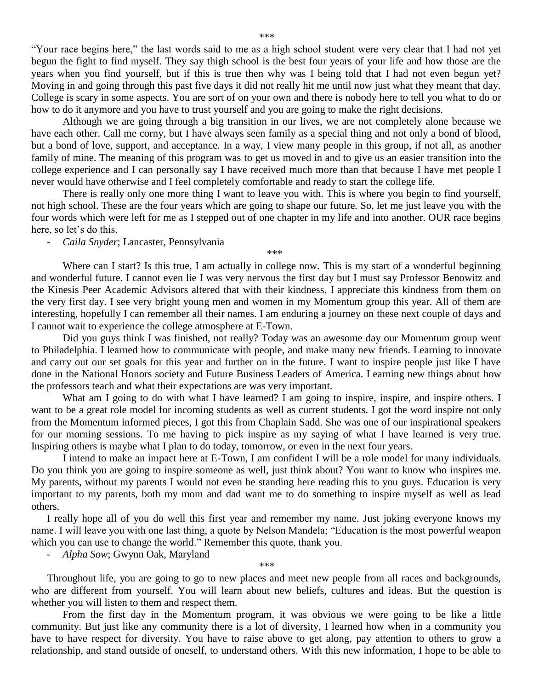"Your race begins here," the last words said to me as a high school student were very clear that I had not yet begun the fight to find myself. They say thigh school is the best four years of your life and how those are the years when you find yourself, but if this is true then why was I being told that I had not even begun yet? Moving in and going through this past five days it did not really hit me until now just what they meant that day. College is scary in some aspects. You are sort of on your own and there is nobody here to tell you what to do or how to do it anymore and you have to trust yourself and you are going to make the right decisions.

Although we are going through a big transition in our lives, we are not completely alone because we have each other. Call me corny, but I have always seen family as a special thing and not only a bond of blood, but a bond of love, support, and acceptance. In a way, I view many people in this group, if not all, as another family of mine. The meaning of this program was to get us moved in and to give us an easier transition into the college experience and I can personally say I have received much more than that because I have met people I never would have otherwise and I feel completely comfortable and ready to start the college life.

There is really only one more thing I want to leave you with. This is where you begin to find yourself, not high school. These are the four years which are going to shape our future. So, let me just leave you with the four words which were left for me as I stepped out of one chapter in my life and into another. OUR race begins here, so let's do this.

*\*\*\**

- *Caila Snyder*; Lancaster, Pennsylvania

Where can I start? Is this true, I am actually in college now. This is my start of a wonderful beginning and wonderful future. I cannot even lie I was very nervous the first day but I must say Professor Benowitz and the Kinesis Peer Academic Advisors altered that with their kindness. I appreciate this kindness from them on the very first day. I see very bright young men and women in my Momentum group this year. All of them are interesting, hopefully I can remember all their names. I am enduring a journey on these next couple of days and I cannot wait to experience the college atmosphere at E-Town.

Did you guys think I was finished, not really? Today was an awesome day our Momentum group went to Philadelphia. I learned how to communicate with people, and make many new friends. Learning to innovate and carry out our set goals for this year and further on in the future. I want to inspire people just like I have done in the National Honors society and Future Business Leaders of America. Learning new things about how the professors teach and what their expectations are was very important.

What am I going to do with what I have learned? I am going to inspire, inspire, and inspire others. I want to be a great role model for incoming students as well as current students. I got the word inspire not only from the Momentum informed pieces, I got this from Chaplain Sadd. She was one of our inspirational speakers for our morning sessions. To me having to pick inspire as my saying of what I have learned is very true. Inspiring others is maybe what I plan to do today, tomorrow, or even in the next four years.

I intend to make an impact here at E-Town, I am confident I will be a role model for many individuals. Do you think you are going to inspire someone as well, just think about? You want to know who inspires me. My parents, without my parents I would not even be standing here reading this to you guys. Education is very important to my parents, both my mom and dad want me to do something to inspire myself as well as lead others.

I really hope all of you do well this first year and remember my name. Just joking everyone knows my name. I will leave you with one last thing, a quote by Nelson Mandela; "Education is the most powerful weapon which you can use to change the world." Remember this quote, thank you.

- *Alpha Sow*; Gwynn Oak, Maryland

Throughout life, you are going to go to new places and meet new people from all races and backgrounds, who are different from yourself. You will learn about new beliefs, cultures and ideas. But the question is whether you will listen to them and respect them.

*\*\*\**

From the first day in the Momentum program, it was obvious we were going to be like a little community. But just like any community there is a lot of diversity, I learned how when in a community you have to have respect for diversity. You have to raise above to get along, pay attention to others to grow a relationship, and stand outside of oneself, to understand others. With this new information, I hope to be able to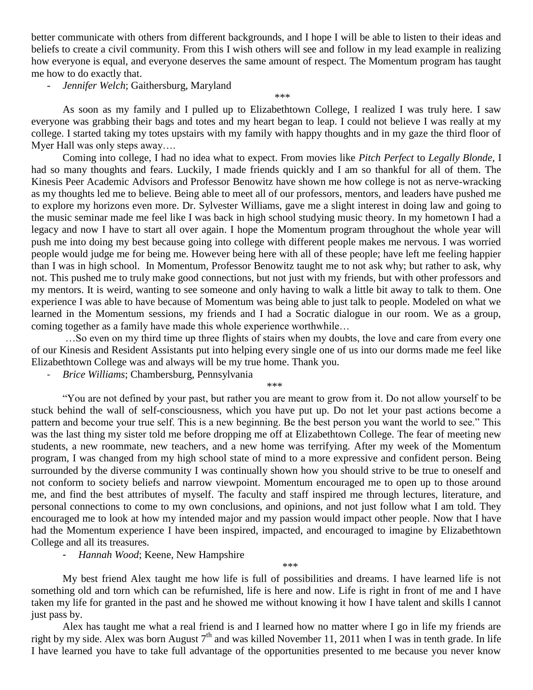better communicate with others from different backgrounds, and I hope I will be able to listen to their ideas and beliefs to create a civil community. From this I wish others will see and follow in my lead example in realizing how everyone is equal, and everyone deserves the same amount of respect. The Momentum program has taught me how to do exactly that.

- *Jennifer Welch*; Gaithersburg, Maryland

As soon as my family and I pulled up to Elizabethtown College, I realized I was truly here. I saw everyone was grabbing their bags and totes and my heart began to leap. I could not believe I was really at my college. I started taking my totes upstairs with my family with happy thoughts and in my gaze the third floor of Myer Hall was only steps away….

*\*\*\**

Coming into college, I had no idea what to expect. From movies like *Pitch Perfect* to *Legally Blonde*, I had so many thoughts and fears. Luckily, I made friends quickly and I am so thankful for all of them. The Kinesis Peer Academic Advisors and Professor Benowitz have shown me how college is not as nerve-wracking as my thoughts led me to believe. Being able to meet all of our professors, mentors, and leaders have pushed me to explore my horizons even more. Dr. Sylvester Williams, gave me a slight interest in doing law and going to the music seminar made me feel like I was back in high school studying music theory. In my hometown I had a legacy and now I have to start all over again. I hope the Momentum program throughout the whole year will push me into doing my best because going into college with different people makes me nervous. I was worried people would judge me for being me. However being here with all of these people; have left me feeling happier than I was in high school. In Momentum, Professor Benowitz taught me to not ask why; but rather to ask, why not. This pushed me to truly make good connections, but not just with my friends, but with other professors and my mentors. It is weird, wanting to see someone and only having to walk a little bit away to talk to them. One experience I was able to have because of Momentum was being able to just talk to people. Modeled on what we learned in the Momentum sessions, my friends and I had a Socratic dialogue in our room. We as a group, coming together as a family have made this whole experience worthwhile…

…So even on my third time up three flights of stairs when my doubts, the love and care from every one of our Kinesis and Resident Assistants put into helping every single one of us into our dorms made me feel like Elizabethtown College was and always will be my true home. Thank you.

- *Brice Williams*; Chambersburg, Pennsylvania

*\*\*\**

"You are not defined by your past, but rather you are meant to grow from it. Do not allow yourself to be stuck behind the wall of self-consciousness, which you have put up. Do not let your past actions become a pattern and become your true self. This is a new beginning. Be the best person you want the world to see." This was the last thing my sister told me before dropping me off at Elizabethtown College. The fear of meeting new students, a new roommate, new teachers, and a new home was terrifying. After my week of the Momentum program, I was changed from my high school state of mind to a more expressive and confident person. Being surrounded by the diverse community I was continually shown how you should strive to be true to oneself and not conform to society beliefs and narrow viewpoint. Momentum encouraged me to open up to those around me, and find the best attributes of myself. The faculty and staff inspired me through lectures, literature, and personal connections to come to my own conclusions, and opinions, and not just follow what I am told. They encouraged me to look at how my intended major and my passion would impact other people. Now that I have had the Momentum experience I have been inspired, impacted, and encouraged to imagine by Elizabethtown College and all its treasures.

- *Hannah Wood*; Keene, New Hampshire

My best friend Alex taught me how life is full of possibilities and dreams. I have learned life is not something old and torn which can be refurnished, life is here and now. Life is right in front of me and I have taken my life for granted in the past and he showed me without knowing it how I have talent and skills I cannot just pass by.

*\*\*\**

Alex has taught me what a real friend is and I learned how no matter where I go in life my friends are right by my side. Alex was born August  $7<sup>th</sup>$  and was killed November 11, 2011 when I was in tenth grade. In life I have learned you have to take full advantage of the opportunities presented to me because you never know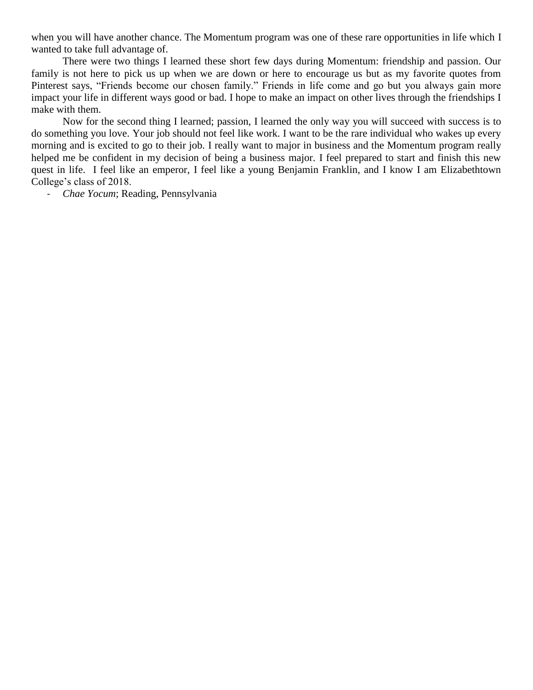when you will have another chance. The Momentum program was one of these rare opportunities in life which I wanted to take full advantage of.

There were two things I learned these short few days during Momentum: friendship and passion. Our family is not here to pick us up when we are down or here to encourage us but as my favorite quotes from Pinterest says, "Friends become our chosen family." Friends in life come and go but you always gain more impact your life in different ways good or bad. I hope to make an impact on other lives through the friendships I make with them.

Now for the second thing I learned; passion, I learned the only way you will succeed with success is to do something you love. Your job should not feel like work. I want to be the rare individual who wakes up every morning and is excited to go to their job. I really want to major in business and the Momentum program really helped me be confident in my decision of being a business major. I feel prepared to start and finish this new quest in life. I feel like an emperor, I feel like a young Benjamin Franklin, and I know I am Elizabethtown College's class of 2018.

- *Chae Yocum*; Reading, Pennsylvania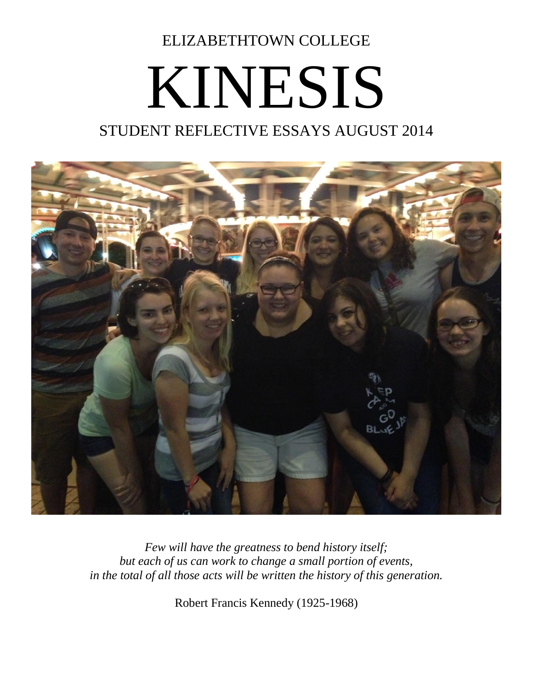ELIZABETHTOWN COLLEGE

## KINESIS STUDENT REFLECTIVE ESSAYS AUGUST 2014



*Few will have the greatness to bend history itself; but each of us can work to change a small portion of events, in the total of all those acts will be written the history of this generation.*

Robert Francis Kennedy (1925-1968)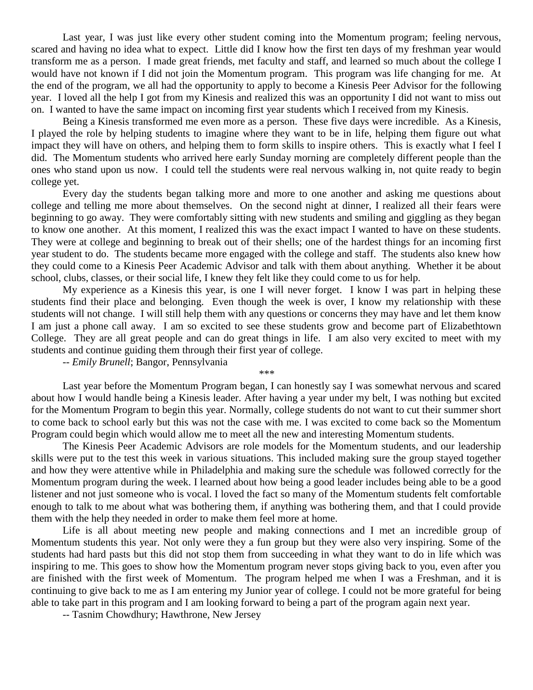Last year, I was just like every other student coming into the Momentum program; feeling nervous, scared and having no idea what to expect. Little did I know how the first ten days of my freshman year would transform me as a person. I made great friends, met faculty and staff, and learned so much about the college I would have not known if I did not join the Momentum program. This program was life changing for me. At the end of the program, we all had the opportunity to apply to become a Kinesis Peer Advisor for the following year. I loved all the help I got from my Kinesis and realized this was an opportunity I did not want to miss out on. I wanted to have the same impact on incoming first year students which I received from my Kinesis.

Being a Kinesis transformed me even more as a person. These five days were incredible. As a Kinesis, I played the role by helping students to imagine where they want to be in life, helping them figure out what impact they will have on others, and helping them to form skills to inspire others. This is exactly what I feel I did. The Momentum students who arrived here early Sunday morning are completely different people than the ones who stand upon us now. I could tell the students were real nervous walking in, not quite ready to begin college yet.

Every day the students began talking more and more to one another and asking me questions about college and telling me more about themselves. On the second night at dinner, I realized all their fears were beginning to go away. They were comfortably sitting with new students and smiling and giggling as they began to know one another. At this moment, I realized this was the exact impact I wanted to have on these students. They were at college and beginning to break out of their shells; one of the hardest things for an incoming first year student to do. The students became more engaged with the college and staff. The students also knew how they could come to a Kinesis Peer Academic Advisor and talk with them about anything. Whether it be about school, clubs, classes, or their social life, I knew they felt like they could come to us for help.

My experience as a Kinesis this year, is one I will never forget. I know I was part in helping these students find their place and belonging. Even though the week is over, I know my relationship with these students will not change. I will still help them with any questions or concerns they may have and let them know I am just a phone call away. I am so excited to see these students grow and become part of Elizabethtown College. They are all great people and can do great things in life. I am also very excited to meet with my students and continue guiding them through their first year of college.

-- *Emily Brunell*; Bangor, Pennsylvania

*\*\*\**

Last year before the Momentum Program began, I can honestly say I was somewhat nervous and scared about how I would handle being a Kinesis leader. After having a year under my belt, I was nothing but excited for the Momentum Program to begin this year. Normally, college students do not want to cut their summer short to come back to school early but this was not the case with me. I was excited to come back so the Momentum Program could begin which would allow me to meet all the new and interesting Momentum students.

The Kinesis Peer Academic Advisors are role models for the Momentum students, and our leadership skills were put to the test this week in various situations. This included making sure the group stayed together and how they were attentive while in Philadelphia and making sure the schedule was followed correctly for the Momentum program during the week. I learned about how being a good leader includes being able to be a good listener and not just someone who is vocal. I loved the fact so many of the Momentum students felt comfortable enough to talk to me about what was bothering them, if anything was bothering them, and that I could provide them with the help they needed in order to make them feel more at home.

Life is all about meeting new people and making connections and I met an incredible group of Momentum students this year. Not only were they a fun group but they were also very inspiring. Some of the students had hard pasts but this did not stop them from succeeding in what they want to do in life which was inspiring to me. This goes to show how the Momentum program never stops giving back to you, even after you are finished with the first week of Momentum. The program helped me when I was a Freshman, and it is continuing to give back to me as I am entering my Junior year of college. I could not be more grateful for being able to take part in this program and I am looking forward to being a part of the program again next year.

-- Tasnim Chowdhury; Hawthrone, New Jersey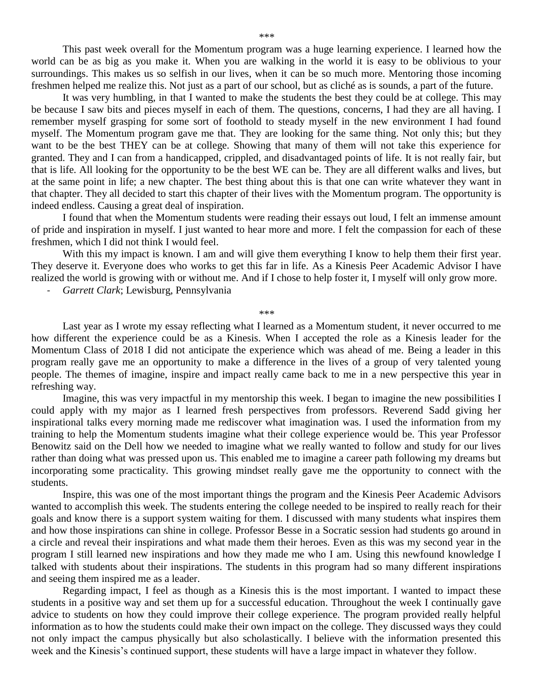This past week overall for the Momentum program was a huge learning experience. I learned how the world can be as big as you make it. When you are walking in the world it is easy to be oblivious to your surroundings. This makes us so selfish in our lives, when it can be so much more. Mentoring those incoming freshmen helped me realize this. Not just as a part of our school, but as cliché as is sounds, a part of the future.

It was very humbling, in that I wanted to make the students the best they could be at college. This may be because I saw bits and pieces myself in each of them. The questions, concerns, I had they are all having. I remember myself grasping for some sort of foothold to steady myself in the new environment I had found myself. The Momentum program gave me that. They are looking for the same thing. Not only this; but they want to be the best THEY can be at college. Showing that many of them will not take this experience for granted. They and I can from a handicapped, crippled, and disadvantaged points of life. It is not really fair, but that is life. All looking for the opportunity to be the best WE can be. They are all different walks and lives, but at the same point in life; a new chapter. The best thing about this is that one can write whatever they want in that chapter. They all decided to start this chapter of their lives with the Momentum program. The opportunity is indeed endless. Causing a great deal of inspiration.

I found that when the Momentum students were reading their essays out loud, I felt an immense amount of pride and inspiration in myself. I just wanted to hear more and more. I felt the compassion for each of these freshmen, which I did not think I would feel.

With this my impact is known. I am and will give them everything I know to help them their first year. They deserve it. Everyone does who works to get this far in life. As a Kinesis Peer Academic Advisor I have realized the world is growing with or without me. And if I chose to help foster it, I myself will only grow more.

- *Garrett Clark*; Lewisburg, Pennsylvania

*\*\*\**

Last year as I wrote my essay reflecting what I learned as a Momentum student, it never occurred to me how different the experience could be as a Kinesis. When I accepted the role as a Kinesis leader for the Momentum Class of 2018 I did not anticipate the experience which was ahead of me. Being a leader in this program really gave me an opportunity to make a difference in the lives of a group of very talented young people. The themes of imagine, inspire and impact really came back to me in a new perspective this year in refreshing way.

Imagine, this was very impactful in my mentorship this week. I began to imagine the new possibilities I could apply with my major as I learned fresh perspectives from professors. Reverend Sadd giving her inspirational talks every morning made me rediscover what imagination was. I used the information from my training to help the Momentum students imagine what their college experience would be. This year Professor Benowitz said on the Dell how we needed to imagine what we really wanted to follow and study for our lives rather than doing what was pressed upon us. This enabled me to imagine a career path following my dreams but incorporating some practicality. This growing mindset really gave me the opportunity to connect with the students.

Inspire, this was one of the most important things the program and the Kinesis Peer Academic Advisors wanted to accomplish this week. The students entering the college needed to be inspired to really reach for their goals and know there is a support system waiting for them. I discussed with many students what inspires them and how those inspirations can shine in college. Professor Besse in a Socratic session had students go around in a circle and reveal their inspirations and what made them their heroes. Even as this was my second year in the program I still learned new inspirations and how they made me who I am. Using this newfound knowledge I talked with students about their inspirations. The students in this program had so many different inspirations and seeing them inspired me as a leader.

Regarding impact, I feel as though as a Kinesis this is the most important. I wanted to impact these students in a positive way and set them up for a successful education. Throughout the week I continually gave advice to students on how they could improve their college experience. The program provided really helpful information as to how the students could make their own impact on the college. They discussed ways they could not only impact the campus physically but also scholastically. I believe with the information presented this week and the Kinesis's continued support, these students will have a large impact in whatever they follow.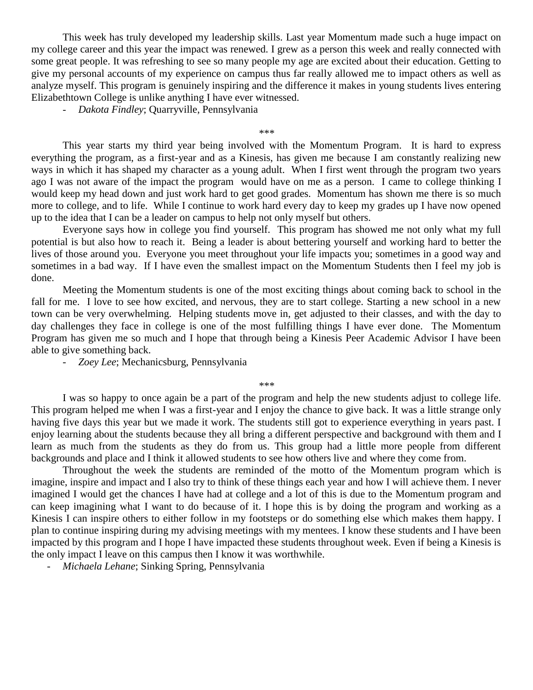This week has truly developed my leadership skills. Last year Momentum made such a huge impact on my college career and this year the impact was renewed. I grew as a person this week and really connected with some great people. It was refreshing to see so many people my age are excited about their education. Getting to give my personal accounts of my experience on campus thus far really allowed me to impact others as well as analyze myself. This program is genuinely inspiring and the difference it makes in young students lives entering Elizabethtown College is unlike anything I have ever witnessed.

- *Dakota Findley*; Quarryville, Pennsylvania

*\*\*\**

This year starts my third year being involved with the Momentum Program. It is hard to express everything the program, as a first-year and as a Kinesis, has given me because I am constantly realizing new ways in which it has shaped my character as a young adult. When I first went through the program two years ago I was not aware of the impact the program would have on me as a person. I came to college thinking I would keep my head down and just work hard to get good grades. Momentum has shown me there is so much more to college, and to life. While I continue to work hard every day to keep my grades up I have now opened up to the idea that I can be a leader on campus to help not only myself but others.

Everyone says how in college you find yourself. This program has showed me not only what my full potential is but also how to reach it. Being a leader is about bettering yourself and working hard to better the lives of those around you. Everyone you meet throughout your life impacts you; sometimes in a good way and sometimes in a bad way. If I have even the smallest impact on the Momentum Students then I feel my job is done.

Meeting the Momentum students is one of the most exciting things about coming back to school in the fall for me. I love to see how excited, and nervous, they are to start college. Starting a new school in a new town can be very overwhelming. Helping students move in, get adjusted to their classes, and with the day to day challenges they face in college is one of the most fulfilling things I have ever done. The Momentum Program has given me so much and I hope that through being a Kinesis Peer Academic Advisor I have been able to give something back.

- *Zoey Lee*; Mechanicsburg, Pennsylvania

*\*\*\**

I was so happy to once again be a part of the program and help the new students adjust to college life. This program helped me when I was a first-year and I enjoy the chance to give back. It was a little strange only having five days this year but we made it work. The students still got to experience everything in years past. I enjoy learning about the students because they all bring a different perspective and background with them and I learn as much from the students as they do from us. This group had a little more people from different backgrounds and place and I think it allowed students to see how others live and where they come from.

Throughout the week the students are reminded of the motto of the Momentum program which is imagine, inspire and impact and I also try to think of these things each year and how I will achieve them. I never imagined I would get the chances I have had at college and a lot of this is due to the Momentum program and can keep imagining what I want to do because of it. I hope this is by doing the program and working as a Kinesis I can inspire others to either follow in my footsteps or do something else which makes them happy. I plan to continue inspiring during my advising meetings with my mentees. I know these students and I have been impacted by this program and I hope I have impacted these students throughout week. Even if being a Kinesis is the only impact I leave on this campus then I know it was worthwhile.

- *Michaela Lehane*; Sinking Spring, Pennsylvania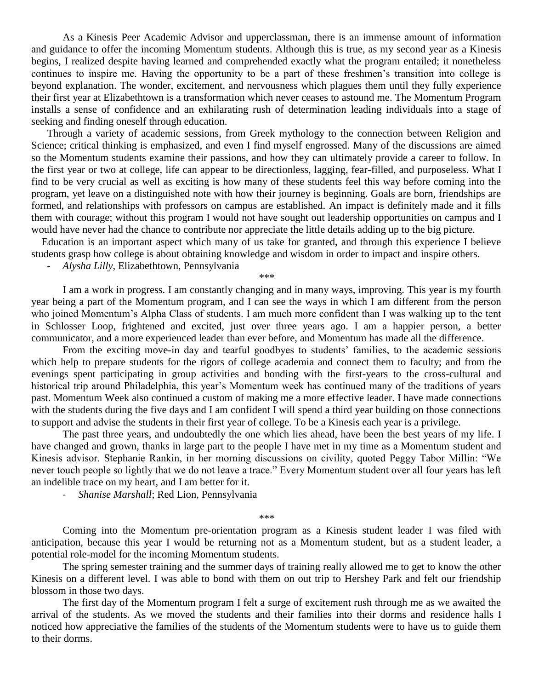As a Kinesis Peer Academic Advisor and upperclassman, there is an immense amount of information and guidance to offer the incoming Momentum students. Although this is true, as my second year as a Kinesis begins, I realized despite having learned and comprehended exactly what the program entailed; it nonetheless continues to inspire me. Having the opportunity to be a part of these freshmen's transition into college is beyond explanation. The wonder, excitement, and nervousness which plagues them until they fully experience their first year at Elizabethtown is a transformation which never ceases to astound me. The Momentum Program installs a sense of confidence and an exhilarating rush of determination leading individuals into a stage of seeking and finding oneself through education.

 Through a variety of academic sessions, from Greek mythology to the connection between Religion and Science; critical thinking is emphasized, and even I find myself engrossed. Many of the discussions are aimed so the Momentum students examine their passions, and how they can ultimately provide a career to follow. In the first year or two at college, life can appear to be directionless, lagging, fear-filled, and purposeless. What I find to be very crucial as well as exciting is how many of these students feel this way before coming into the program, yet leave on a distinguished note with how their journey is beginning. Goals are born, friendships are formed, and relationships with professors on campus are established. An impact is definitely made and it fills them with courage; without this program I would not have sought out leadership opportunities on campus and I would have never had the chance to contribute nor appreciate the little details adding up to the big picture.

 Education is an important aspect which many of us take for granted, and through this experience I believe students grasp how college is about obtaining knowledge and wisdom in order to impact and inspire others.

*\*\*\**

- *Alysha Lilly*, Elizabethtown, Pennsylvania

I am a work in progress. I am constantly changing and in many ways, improving. This year is my fourth year being a part of the Momentum program, and I can see the ways in which I am different from the person who joined Momentum's Alpha Class of students. I am much more confident than I was walking up to the tent in Schlosser Loop, frightened and excited, just over three years ago. I am a happier person, a better communicator, and a more experienced leader than ever before, and Momentum has made all the difference.

From the exciting move-in day and tearful goodbyes to students' families, to the academic sessions which help to prepare students for the rigors of college academia and connect them to faculty; and from the evenings spent participating in group activities and bonding with the first-years to the cross-cultural and historical trip around Philadelphia, this year's Momentum week has continued many of the traditions of years past. Momentum Week also continued a custom of making me a more effective leader. I have made connections with the students during the five days and I am confident I will spend a third year building on those connections to support and advise the students in their first year of college. To be a Kinesis each year is a privilege.

The past three years, and undoubtedly the one which lies ahead, have been the best years of my life. I have changed and grown, thanks in large part to the people I have met in my time as a Momentum student and Kinesis advisor. Stephanie Rankin, in her morning discussions on civility, quoted Peggy Tabor Millin: "We never touch people so lightly that we do not leave a trace." Every Momentum student over all four years has left an indelible trace on my heart, and I am better for it.

- *Shanise Marshall*; Red Lion, Pennsylvania

*\*\*\**

Coming into the Momentum pre-orientation program as a Kinesis student leader I was filed with anticipation, because this year I would be returning not as a Momentum student, but as a student leader, a potential role-model for the incoming Momentum students.

The spring semester training and the summer days of training really allowed me to get to know the other Kinesis on a different level. I was able to bond with them on out trip to Hershey Park and felt our friendship blossom in those two days.

The first day of the Momentum program I felt a surge of excitement rush through me as we awaited the arrival of the students. As we moved the students and their families into their dorms and residence halls I noticed how appreciative the families of the students of the Momentum students were to have us to guide them to their dorms.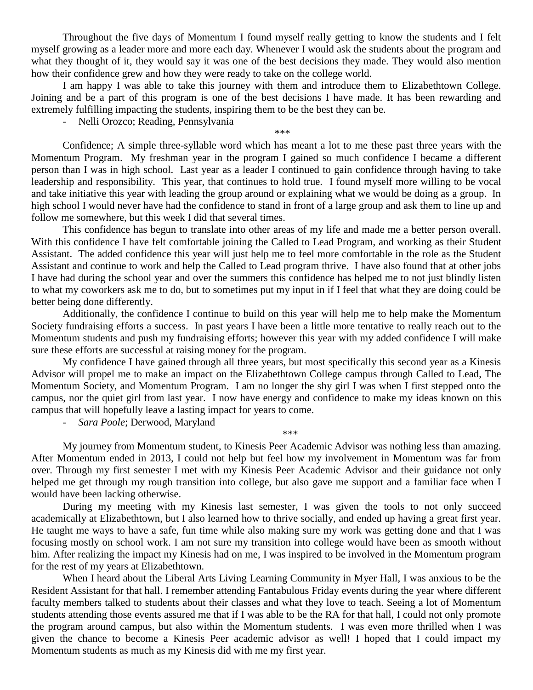Throughout the five days of Momentum I found myself really getting to know the students and I felt myself growing as a leader more and more each day. Whenever I would ask the students about the program and what they thought of it, they would say it was one of the best decisions they made. They would also mention how their confidence grew and how they were ready to take on the college world.

I am happy I was able to take this journey with them and introduce them to Elizabethtown College. Joining and be a part of this program is one of the best decisions I have made. It has been rewarding and extremely fulfilling impacting the students, inspiring them to be the best they can be.

*\*\*\**

- Nelli Orozco; Reading, Pennsylvania

Confidence; A simple three-syllable word which has meant a lot to me these past three years with the Momentum Program. My freshman year in the program I gained so much confidence I became a different person than I was in high school. Last year as a leader I continued to gain confidence through having to take leadership and responsibility. This year, that continues to hold true. I found myself more willing to be vocal and take initiative this year with leading the group around or explaining what we would be doing as a group. In high school I would never have had the confidence to stand in front of a large group and ask them to line up and follow me somewhere, but this week I did that several times.

This confidence has begun to translate into other areas of my life and made me a better person overall. With this confidence I have felt comfortable joining the Called to Lead Program, and working as their Student Assistant. The added confidence this year will just help me to feel more comfortable in the role as the Student Assistant and continue to work and help the Called to Lead program thrive. I have also found that at other jobs I have had during the school year and over the summers this confidence has helped me to not just blindly listen to what my coworkers ask me to do, but to sometimes put my input in if I feel that what they are doing could be better being done differently.

Additionally, the confidence I continue to build on this year will help me to help make the Momentum Society fundraising efforts a success. In past years I have been a little more tentative to really reach out to the Momentum students and push my fundraising efforts; however this year with my added confidence I will make sure these efforts are successful at raising money for the program.

My confidence I have gained through all three years, but most specifically this second year as a Kinesis Advisor will propel me to make an impact on the Elizabethtown College campus through Called to Lead, The Momentum Society, and Momentum Program. I am no longer the shy girl I was when I first stepped onto the campus, nor the quiet girl from last year. I now have energy and confidence to make my ideas known on this campus that will hopefully leave a lasting impact for years to come.

- *Sara Poole*; Derwood, Maryland

My journey from Momentum student, to Kinesis Peer Academic Advisor was nothing less than amazing. After Momentum ended in 2013, I could not help but feel how my involvement in Momentum was far from over. Through my first semester I met with my Kinesis Peer Academic Advisor and their guidance not only helped me get through my rough transition into college, but also gave me support and a familiar face when I would have been lacking otherwise.

*\*\*\**

During my meeting with my Kinesis last semester, I was given the tools to not only succeed academically at Elizabethtown, but I also learned how to thrive socially, and ended up having a great first year. He taught me ways to have a safe, fun time while also making sure my work was getting done and that I was focusing mostly on school work. I am not sure my transition into college would have been as smooth without him. After realizing the impact my Kinesis had on me, I was inspired to be involved in the Momentum program for the rest of my years at Elizabethtown.

When I heard about the Liberal Arts Living Learning Community in Myer Hall, I was anxious to be the Resident Assistant for that hall. I remember attending Fantabulous Friday events during the year where different faculty members talked to students about their classes and what they love to teach. Seeing a lot of Momentum students attending those events assured me that if I was able to be the RA for that hall, I could not only promote the program around campus, but also within the Momentum students. I was even more thrilled when I was given the chance to become a Kinesis Peer academic advisor as well! I hoped that I could impact my Momentum students as much as my Kinesis did with me my first year.